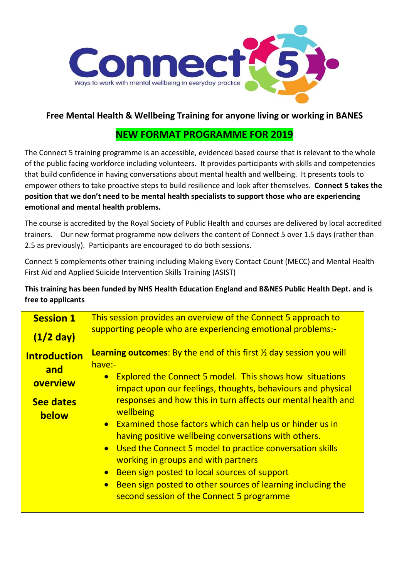

## **Free Mental Health & Wellbeing Training for anyone living or working in BANES**

## **NEW FORMAT PROGRAMME FOR 2019**

The Connect 5 training programme is an accessible, evidenced based course that is relevant to the whole of the public facing workforce including volunteers. It provides participants with skills and competencies that build confidence in having conversations about mental health and wellbeing. It presents tools to empower others to take proactive steps to build resilience and look after themselves. **Connect 5 takes the position that we don't need to be mental health specialists to support those who are experiencing emotional and mental health problems.**

The course is accredited by the Royal Society of Public Health and courses are delivered by local accredited trainers. Our new format programme now delivers the content of Connect 5 over 1.5 days (rather than 2.5 as previously). Participants are encouraged to do both sessions.

Connect 5 complements other training including Making Every Contact Count (MECC) and Mental Health First Aid and Applied Suicide Intervention Skills Training (ASIST)

**This training has been funded by NHS Health Education England and B&NES Public Health Dept. and is free to applicants** 

| <b>Session 1</b>                                                    | This session provides an overview of the Connect 5 approach to                                                                                                                                                                                                                                                                                                                                                                                                                                                                                                                                                                                                                                                               |  |  |
|---------------------------------------------------------------------|------------------------------------------------------------------------------------------------------------------------------------------------------------------------------------------------------------------------------------------------------------------------------------------------------------------------------------------------------------------------------------------------------------------------------------------------------------------------------------------------------------------------------------------------------------------------------------------------------------------------------------------------------------------------------------------------------------------------------|--|--|
| $(1/2)$ day)                                                        | supporting people who are experiencing emotional problems:-                                                                                                                                                                                                                                                                                                                                                                                                                                                                                                                                                                                                                                                                  |  |  |
| <b>Introduction</b><br>and<br>overview<br><b>See dates</b><br>below | <b>Learning outcomes:</b> By the end of this first $\frac{1}{2}$ day session you will<br>have:-<br><b>Explored the Connect 5 model. This shows how situations</b><br>impact upon our feelings, thoughts, behaviours and physical<br>responses and how this in turn affects our mental health and<br>wellbeing<br>• Examined those factors which can help us or hinder us in<br>having positive wellbeing conversations with others.<br>Used the Connect 5 model to practice conversation skills<br>working in groups and with partners<br>Been sign posted to local sources of support<br>$\bullet$<br>Been sign posted to other sources of learning including the<br>$\bullet$<br>second session of the Connect 5 programme |  |  |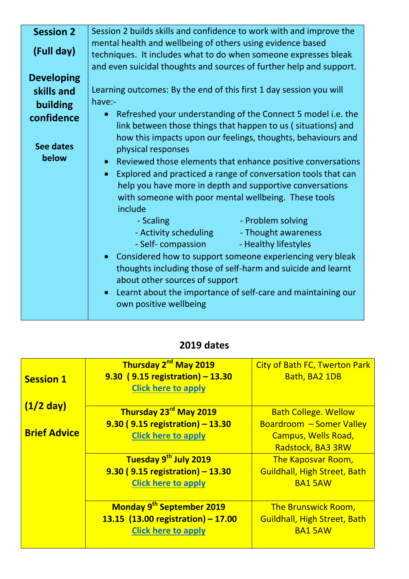| <b>Session 2</b>  | Session 2 builds skills and confidence to work with and improve the        |  |  |
|-------------------|----------------------------------------------------------------------------|--|--|
| (Full day)        | mental health and wellbeing of others using evidence based                 |  |  |
|                   | techniques. It includes what to do when someone expresses bleak            |  |  |
|                   | and even suicidal thoughts and sources of further help and support.        |  |  |
| <b>Developing</b> |                                                                            |  |  |
| skills and        | Learning outcomes: By the end of this first 1 day session you will         |  |  |
| building          | have:-                                                                     |  |  |
| confidence        | Refreshed your understanding of the Connect 5 model i.e. the               |  |  |
|                   | link between those things that happen to us (situations) and               |  |  |
|                   | how this impacts upon our feelings, thoughts, behaviours and               |  |  |
| <b>See dates</b>  | physical responses                                                         |  |  |
| below             |                                                                            |  |  |
|                   | • Reviewed those elements that enhance positive conversations              |  |  |
|                   | Explored and practiced a range of conversation tools that can<br>$\bullet$ |  |  |
|                   | help you have more in depth and supportive conversations                   |  |  |
|                   | with someone with poor mental wellbeing. These tools                       |  |  |
|                   | include                                                                    |  |  |
|                   | - Problem solving<br>- Scaling                                             |  |  |
|                   | - Activity scheduling Thought awareness                                    |  |  |
|                   | - Self- compassion<br>- Healthy lifestyles                                 |  |  |
|                   | Considered how to support someone experiencing very bleak<br>$\bullet$     |  |  |
|                   | thoughts including those of self-harm and suicide and learnt               |  |  |
|                   |                                                                            |  |  |
|                   | about other sources of support                                             |  |  |
|                   | Learnt about the importance of self-care and maintaining our               |  |  |
|                   | own positive wellbeing                                                     |  |  |
|                   |                                                                            |  |  |

## **2019 dates**

|                     | Thursday 2 <sup>nd</sup> May 2019     | <b>City of Bath FC, Twerton Park</b> |
|---------------------|---------------------------------------|--------------------------------------|
| <b>Session 1</b>    | 9.30 (9.15 registration) - 13.30      | Bath, BA2 1DB                        |
|                     | <b>Click here to apply</b>            |                                      |
| $(1/2)$ day)        |                                       |                                      |
|                     | Thursday 23 <sup>rd</sup> May 2019    | <b>Bath College. Wellow</b>          |
| <b>Brief Advice</b> | 9.30 (9.15 registration) - 13.30      | <b>Boardroom - Somer Valley</b>      |
|                     | <b>Click here to apply</b>            | <b>Campus, Wells Road,</b>           |
|                     |                                       | Radstock, BA3 3RW                    |
|                     | Tuesday 9th July 2019                 | <b>The Kaposvar Room,</b>            |
|                     | 9.30 (9.15 registration) - 13.30      | <b>Guildhall, High Street, Bath</b>  |
|                     | <b>Click here to apply</b>            | <b>BA1 5AW</b>                       |
|                     | Monday 9 <sup>th</sup> September 2019 | <b>The Brunswick Room,</b>           |
|                     | 13.15 $(13.00$ registration) - 17.00  | <b>Guildhall, High Street, Bath</b>  |
|                     | <b>Click here to apply</b>            | <b>BA1 5AW</b>                       |